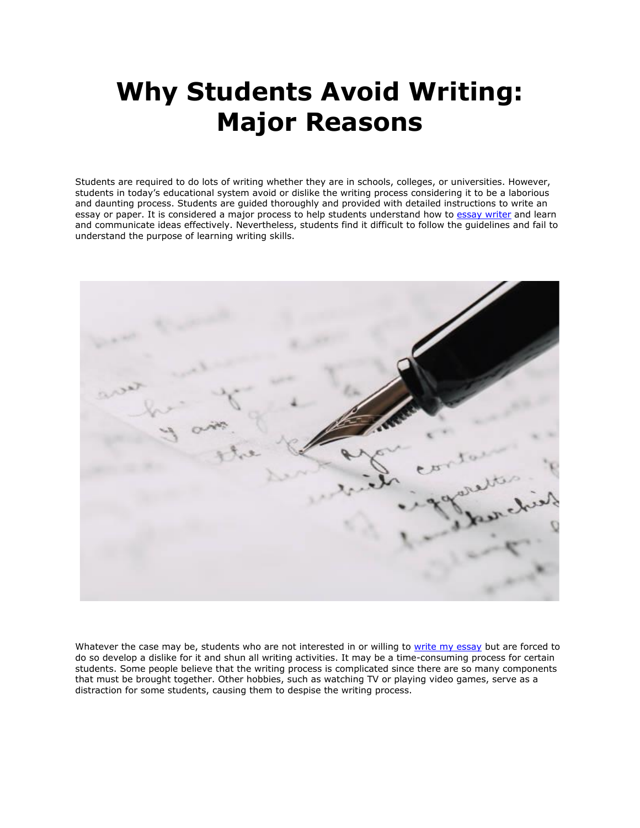# **Why Students Avoid Writing: Major Reasons**

Students are required to do lots of writing whether they are in schools, colleges, or universities. However, students in today's educational system avoid or dislike the writing process considering it to be a laborious and daunting process. Students are guided thoroughly and provided with detailed instructions to write an essay or paper. It is considered a major process to help students understand how to [essay writer](https://essayhours.com/) and learn and communicate ideas effectively. Nevertheless, students find it difficult to follow the guidelines and fail to understand the purpose of learning writing skills.



Whatever the case may be, students who are not interested in or willing to [write my essay](https://www.5staressays.com/) but are forced to do so develop a dislike for it and shun all writing activities. It may be a time-consuming process for certain students. Some people believe that the writing process is complicated since there are so many components that must be brought together. Other hobbies, such as watching TV or playing video games, serve as a distraction for some students, causing them to despise the writing process.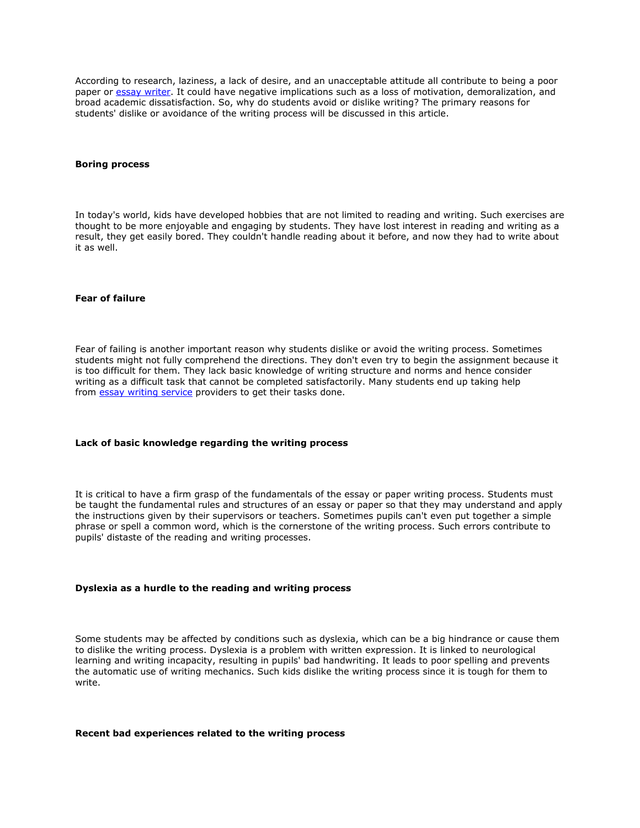According to research, laziness, a lack of desire, and an unacceptable attitude all contribute to being a poor paper or [essay writer.](https://www.5staressays.com/) It could have negative implications such as a loss of motivation, demoralization, and broad academic dissatisfaction. So, why do students avoid or dislike writing? The primary reasons for students' dislike or avoidance of the writing process will be discussed in this article.

#### **Boring process**

In today's world, kids have developed hobbies that are not limited to reading and writing. Such exercises are thought to be more enjoyable and engaging by students. They have lost interest in reading and writing as a result, they get easily bored. They couldn't handle reading about it before, and now they had to write about it as well.

# **Fear of failure**

Fear of failing is another important reason why students dislike or avoid the writing process. Sometimes students might not fully comprehend the directions. They don't even try to begin the assignment because it is too difficult for them. They lack basic knowledge of writing structure and norms and hence consider writing as a difficult task that cannot be completed satisfactorily. Many students end up taking help from **[essay writing service](https://theessaywritingservice.com/)** providers to get their tasks done.

#### **Lack of basic knowledge regarding the writing process**

It is critical to have a firm grasp of the fundamentals of the essay or paper writing process. Students must be taught the fundamental rules and structures of an essay or paper so that they may understand and apply the instructions given by their supervisors or teachers. Sometimes pupils can't even put together a simple phrase or spell a common word, which is the cornerstone of the writing process. Such errors contribute to pupils' distaste of the reading and writing processes.

## **Dyslexia as a hurdle to the reading and writing process**

Some students may be affected by conditions such as dyslexia, which can be a big hindrance or cause them to dislike the writing process. Dyslexia is a problem with written expression. It is linked to neurological learning and writing incapacity, resulting in pupils' bad handwriting. It leads to poor spelling and prevents the automatic use of writing mechanics. Such kids dislike the writing process since it is tough for them to write.

#### **Recent bad experiences related to the writing process**